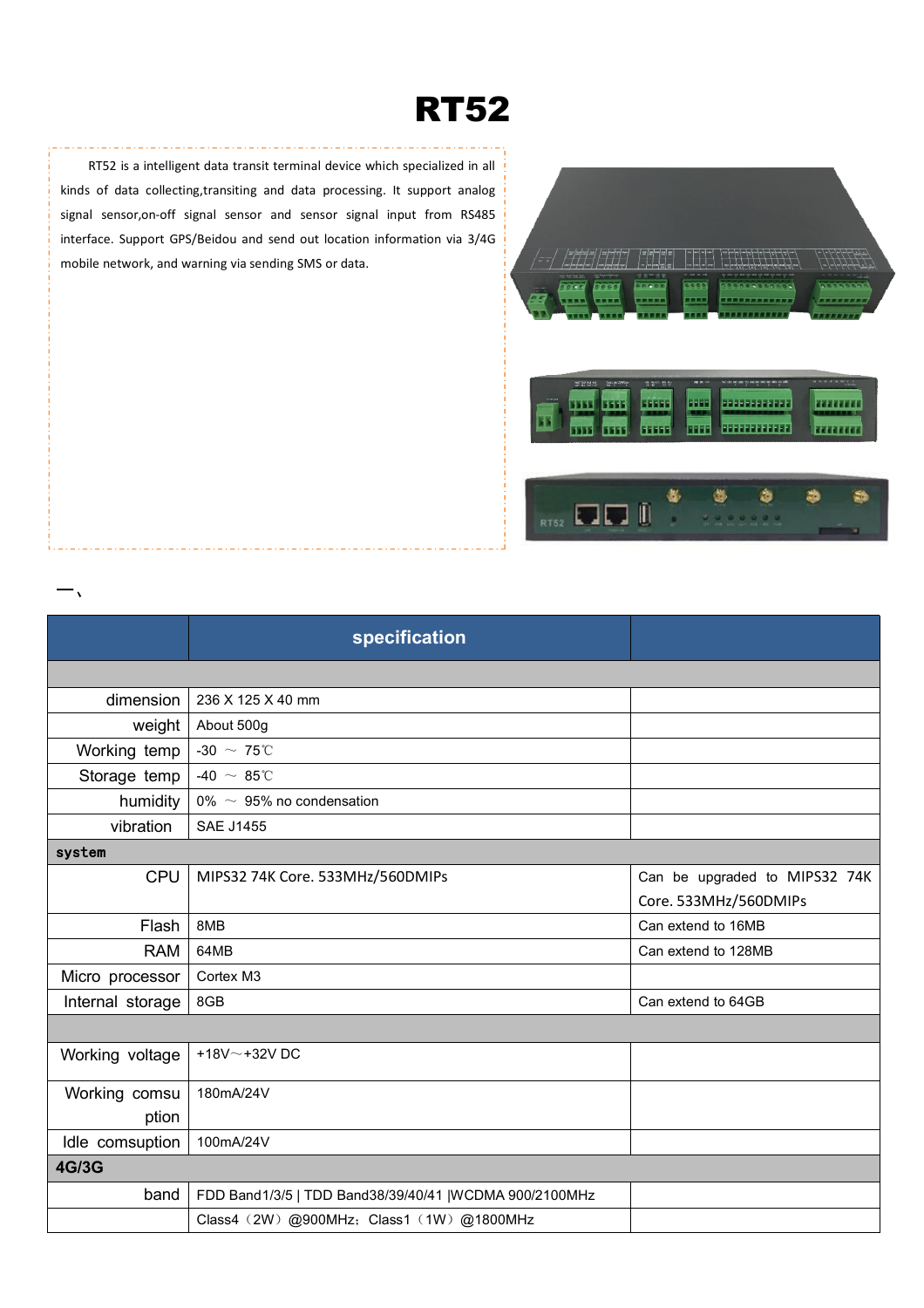## **RT52**

RT52 is a intelligent data transit terminal device which specialized in all kinds of data collecting,transiting and data processing. It support analog signal sensor,on-off signal sensor and sensor signal input from RS485 interface. Support GPS/Beidou and send out location information via 3/4G mobile network, and warning via sending SMS or data.

 $\overline{ }$ 



|                  | specification                                           |                               |
|------------------|---------------------------------------------------------|-------------------------------|
|                  |                                                         |                               |
| dimension        | 236 X 125 X 40 mm                                       |                               |
| weight           | About 500g                                              |                               |
| Working temp     | -30 $\sim$ 75°C                                         |                               |
| Storage temp     | -40 $\sim 85^{\circ}$ C                                 |                               |
| humidity         | 0% $\sim$ 95% no condensation                           |                               |
| vibration        | <b>SAE J1455</b>                                        |                               |
| system           |                                                         |                               |
| <b>CPU</b>       | MIPS32 74K Core. 533MHz/560DMIPs                        | Can be upgraded to MIPS32 74K |
|                  |                                                         | Core. 533MHz/560DMIPs         |
| Flash            | 8MB                                                     | Can extend to 16MB            |
| <b>RAM</b>       | 64MB                                                    | Can extend to 128MB           |
| Micro processor  | Cortex M3                                               |                               |
| Internal storage | 8GB                                                     | Can extend to 64GB            |
|                  |                                                         |                               |
| Working voltage  | +18V $\sim$ +32V DC                                     |                               |
| Working comsu    | 180mA/24V                                               |                               |
| ption            |                                                         |                               |
| Idle comsuption  | 100mA/24V                                               |                               |
| <b>4G/3G</b>     |                                                         |                               |
| band             | FDD Band1/3/5   TDD Band38/39/40/41   WCDMA 900/2100MHz |                               |
|                  | Class4 (2W) @900MHz; Class1 (1W) @1800MHz               |                               |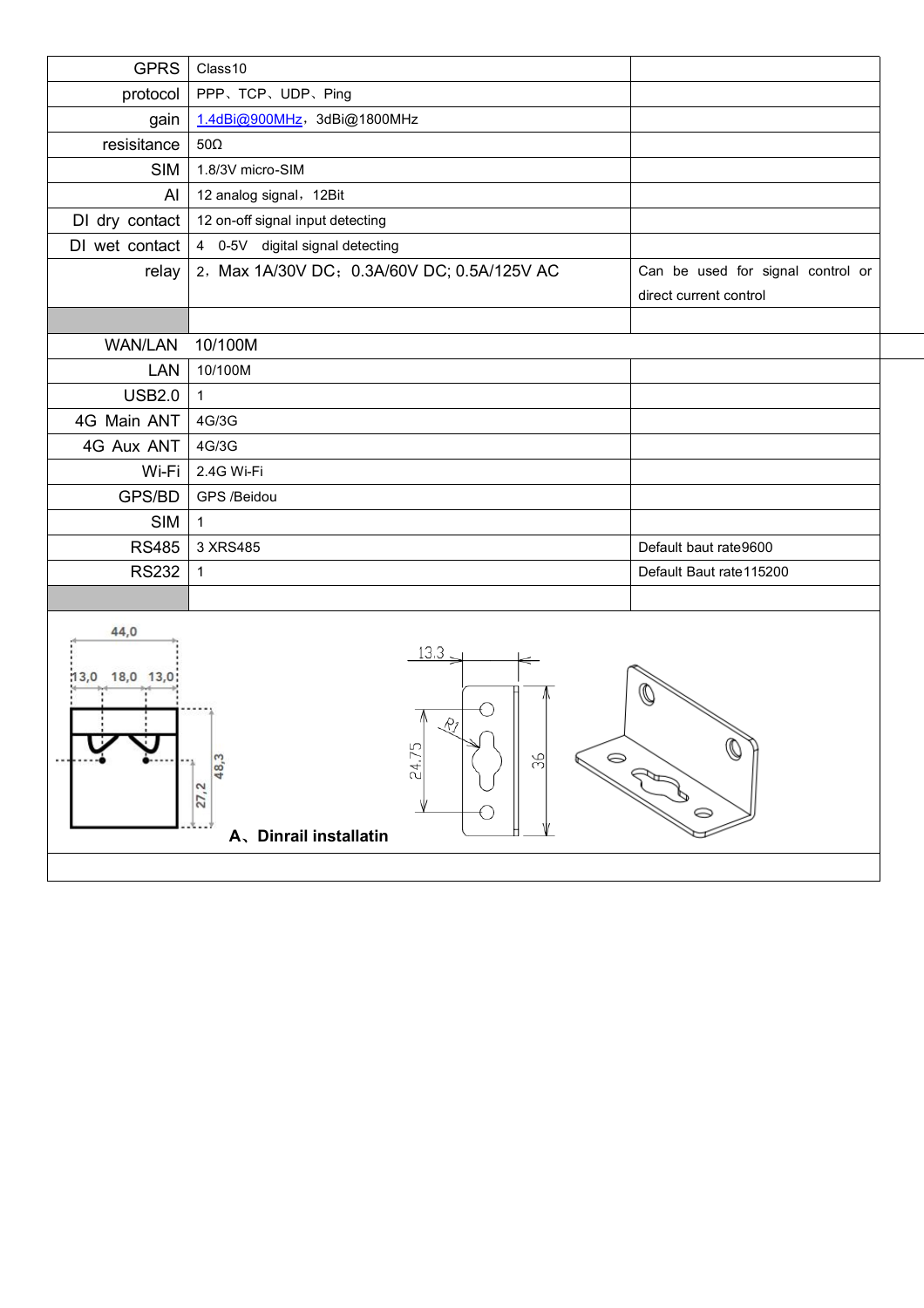| <b>GPRS</b>               | Class10                                                                                                             |                                                             |
|---------------------------|---------------------------------------------------------------------------------------------------------------------|-------------------------------------------------------------|
| protocol                  | PPP、TCP、UDP、Ping                                                                                                    |                                                             |
| gain                      | 1.4dBi@900MHz, 3dBi@1800MHz                                                                                         |                                                             |
| resisitance               | $50\Omega$                                                                                                          |                                                             |
| <b>SIM</b>                | 1.8/3V micro-SIM                                                                                                    |                                                             |
| Al                        | 12 analog signal, 12Bit                                                                                             |                                                             |
| DI dry contact            | 12 on-off signal input detecting                                                                                    |                                                             |
| DI wet contact            | 4 0-5V digital signal detecting                                                                                     |                                                             |
| relay                     | 2, Max 1A/30V DC; 0.3A/60V DC; 0.5A/125V AC                                                                         | Can be used for signal control or<br>direct current control |
| <b>WAN/LAN</b>            | 10/100M                                                                                                             |                                                             |
| LAN                       | 10/100M                                                                                                             |                                                             |
| <b>USB2.0</b>             | $\mathbf{1}$                                                                                                        |                                                             |
| 4G Main ANT               | 4G/3G                                                                                                               |                                                             |
| 4G Aux ANT                | 4G/3G                                                                                                               |                                                             |
| Wi-Fi                     | 2.4G Wi-Fi                                                                                                          |                                                             |
| GPS/BD                    | GPS /Beidou                                                                                                         |                                                             |
| <b>SIM</b>                | $\overline{1}$                                                                                                      |                                                             |
| <b>RS485</b>              | 3 XRS485                                                                                                            | Default baut rate9600                                       |
| <b>RS232</b>              | $\mathbf{1}$                                                                                                        | Default Baut rate115200                                     |
|                           |                                                                                                                     |                                                             |
| 44,0<br>18,0 13,0<br>13,0 | $13.3 -$<br>5<br>96<br>$\circledcirc$<br>S<br>24.<br>ထ<br>ᆉ<br>$\mathbf{\tilde{c}}$<br>27,<br>A、Dinrail installatin | 0                                                           |
|                           |                                                                                                                     |                                                             |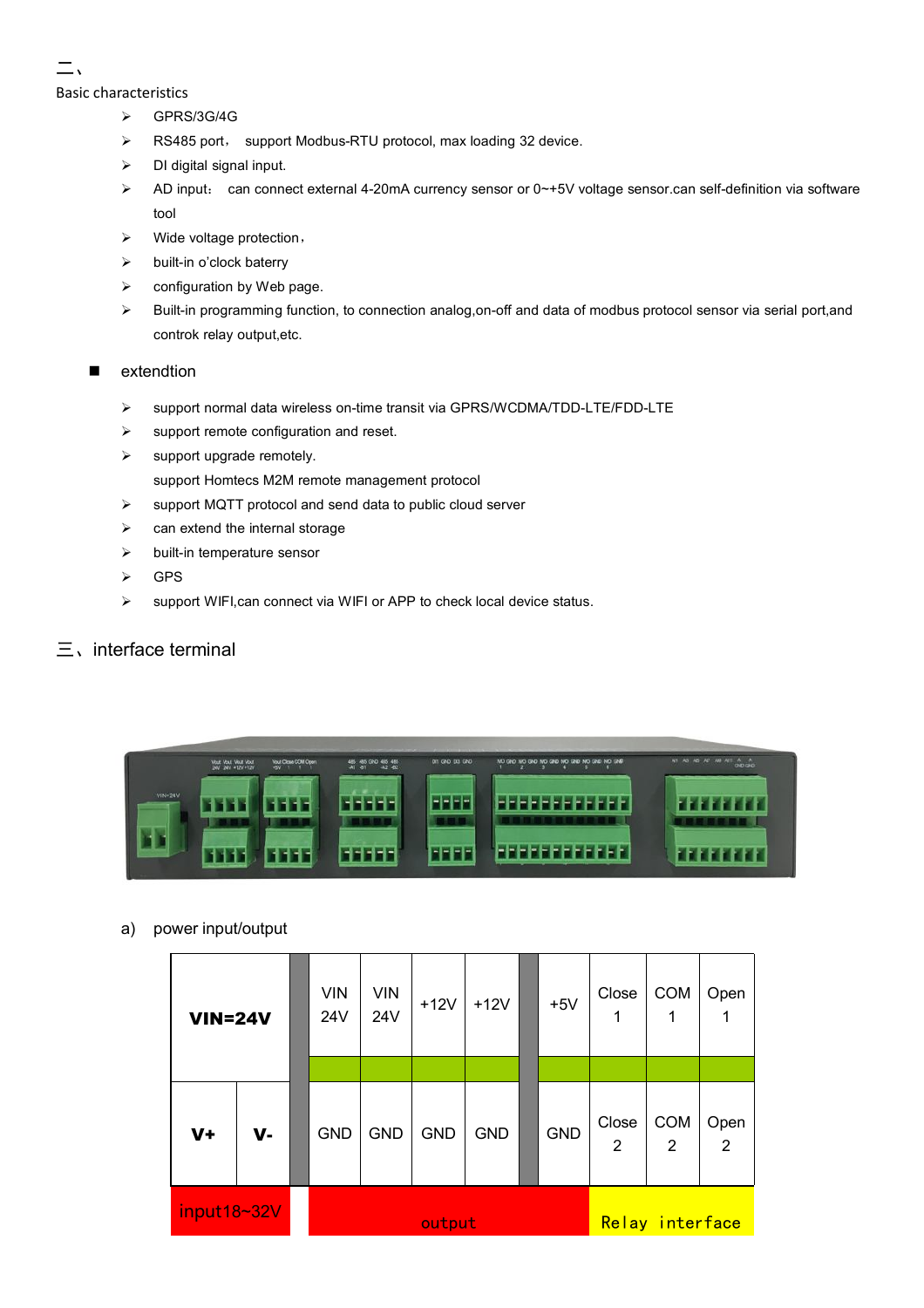## 二、

Basic characteristics

- $\triangleright$  GPRS/3G/4G
- ▶ RS485 port, support Modbus-RTU protocol, max loading 32 device.
- $\triangleright$  DI digital signal input.
- AD input: can connect external 4-20mA currency sensor or 0~+5V voltage sensor.can self-definition via software tool
- $\triangleright$  Wide voltage protection,
- $\triangleright$  built-in o'clock baterry
- $\triangleright$  configuration by Web page.
- Built-in programming function, to connection analog,on-off and data of modbus protocol sensor via serial port,and controk relay output,etc.
- **E** extendtion
	- support normal data wireless on-time transit via GPRS/WCDMA/TDD-LTE/FDD-LTE
	- $\triangleright$  support remote configuration and reset.
	- $\triangleright$  support upgrade remotely.
		- support Homtecs M2M remote management protocol
	- $\triangleright$  support MQTT protocol and send data to public cloud server
	- $\triangleright$  can extend the internal storage
	- $\triangleright$  built-in temperature sensor
	- > GPS
	- > support WIFI, can connect via WIFI or APP to check local device status.

## $\equiv$ , interface terminal



## a) power input/output

| <b>VIN=24V</b> |       | <b>VIN</b><br>24V | <b>VIN</b><br>24V | $+12V$     | $+12V$     |  | $+5V$           | Close<br>1              | <b>COM</b><br>1 | Open      |
|----------------|-------|-------------------|-------------------|------------|------------|--|-----------------|-------------------------|-----------------|-----------|
|                |       |                   |                   |            |            |  |                 |                         |                 |           |
| $V +$          | $V -$ | <b>GND</b>        | <b>GND</b>        | <b>GND</b> | <b>GND</b> |  | <b>GND</b>      | Close<br>$\overline{2}$ | <b>COM</b><br>2 | Open<br>2 |
| input18~32V    |       | output            |                   |            |            |  | Relay interface |                         |                 |           |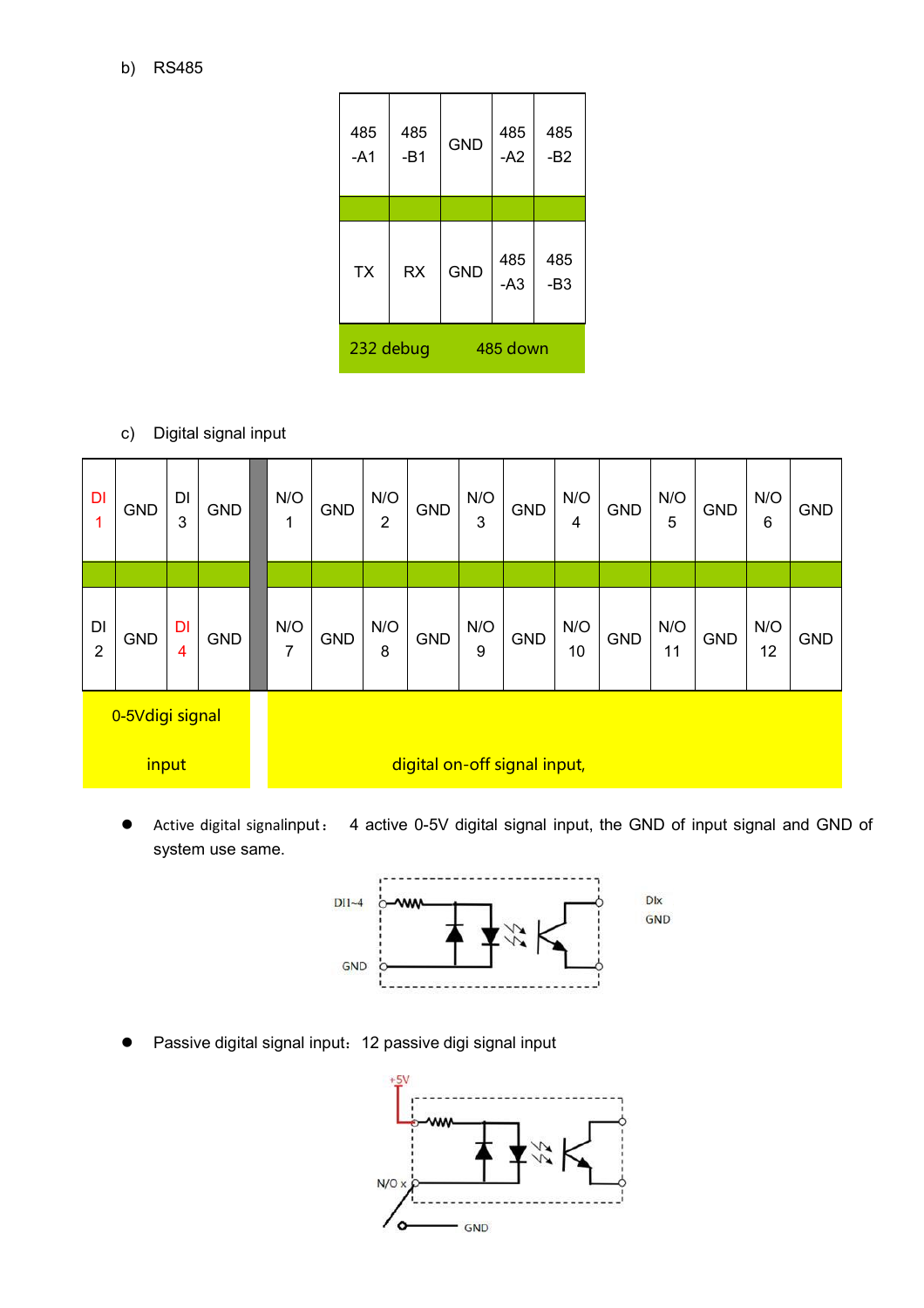| b) | RS485 |
|----|-------|
|    |       |

| 485<br>$-A1$          | 485<br>$-B1$ | <b>GND</b> | 485<br>$-A2$ | 485<br>$-B2$ |  |  |
|-----------------------|--------------|------------|--------------|--------------|--|--|
|                       |              |            |              |              |  |  |
| <b>TX</b>             | <b>RX</b>    | <b>GND</b> | 485<br>$-A3$ | 485<br>$-B3$ |  |  |
| 232 debug<br>485 down |              |            |              |              |  |  |

c) Digital signal input

| DI<br>$\mathbf{1}$   | <b>GND</b> | DI<br>3 | <b>GND</b> | N/O<br>1 | <b>GND</b> | N/O<br>$\overline{2}$        | <b>GND</b> | N/O<br>3 | GND        | N/O<br>4  | <b>GND</b> | N/O<br>5  | <b>GND</b> | N/O<br>6  | <b>GND</b> |
|----------------------|------------|---------|------------|----------|------------|------------------------------|------------|----------|------------|-----------|------------|-----------|------------|-----------|------------|
|                      |            |         |            |          |            |                              |            |          |            |           |            |           |            |           |            |
| DI<br>$\overline{2}$ | <b>GND</b> | DI<br>4 | <b>GND</b> | N/O<br>7 | <b>GND</b> | N/O<br>8                     | GND        | N/O<br>9 | <b>GND</b> | N/O<br>10 | GND        | N/O<br>11 | <b>GND</b> | N/O<br>12 | <b>GND</b> |
| 0-5Vdigi signal      |            |         |            |          |            |                              |            |          |            |           |            |           |            |           |            |
| input                |            |         |            |          |            | digital on-off signal input, |            |          |            |           |            |           |            |           |            |

 Active digital signalinput: 4 active 0-5V digital signal input, the GND of input signal and GND of system use same.



Passive digital signal input:12 passive digi signal input